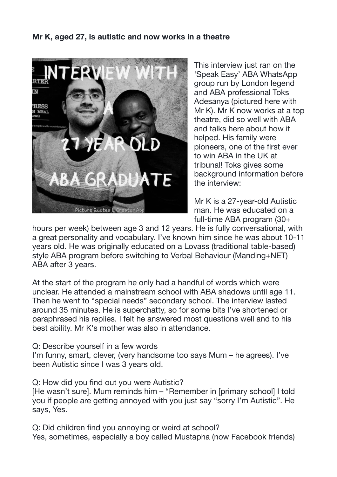## **Mr K, aged 27, is autistic and now works in a theatre**



This interview just ran on the 'Speak Easy' ABA WhatsApp group run by London legend and ABA professional Toks Adesanya (pictured here with Mr K). Mr K now works at a top theatre, did so well with ABA and talks here about how it helped. His family were pioneers, one of the first ever to win ABA in the UK at tribunal! Toks gives some background information before the interview:

Mr K is a 27-year-old Autistic man. He was educated on a full-time ABA program (30+

hours per week) between age 3 and 12 years. He is fully conversational, with a great personality and vocabulary. I've known him since he was about 10-11 years old. He was originally educated on a Lovass (traditional table-based) style ABA program before switching to Verbal Behaviour (Manding+NET) ABA after 3 years.

At the start of the program he only had a handful of words which were unclear. He attended a mainstream school with ABA shadows until age 11. Then he went to "special needs" secondary school. The interview lasted around 35 minutes. He is superchatty, so for some bits I've shortened or paraphrased his replies. I felt he answered most questions well and to his best ability. Mr K's mother was also in attendance.

Q: Describe yourself in a few words

I'm funny, smart, clever, (very handsome too says Mum – he agrees). I've been Autistic since I was 3 years old.

Q: How did you find out you were Autistic?

[He wasn't sure]. Mum reminds him – "Remember in [primary school] I told you if people are getting annoyed with you just say "sorry I'm Autistic". He says, Yes.

Q: Did children find you annoying or weird at school? Yes, sometimes, especially a boy called Mustapha (now Facebook friends)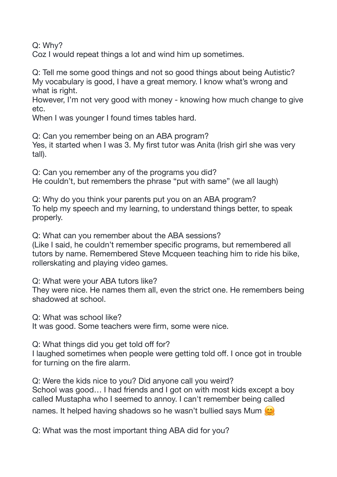Q: Why?

Coz I would repeat things a lot and wind him up sometimes.

Q: Tell me some good things and not so good things about being Autistic? My vocabulary is good, I have a great memory. I know what's wrong and what is right.

However, I'm not very good with money - knowing how much change to give etc.

When I was younger I found times tables hard.

Q: Can you remember being on an ABA program? Yes, it started when I was 3. My first tutor was Anita (Irish girl she was very tall).

Q: Can you remember any of the programs you did? He couldn't, but remembers the phrase "put with same" (we all laugh)

Q: Why do you think your parents put you on an ABA program? To help my speech and my learning, to understand things better, to speak properly.

Q: What can you remember about the ABA sessions?

(Like I said, he couldn't remember specific programs, but remembered all tutors by name. Remembered Steve Mcqueen teaching him to ride his bike, rollerskating and playing video games.

Q: What were your ABA tutors like?

They were nice. He names them all, even the strict one. He remembers being shadowed at school.

Q: What was school like?

It was good. Some teachers were firm, some were nice.

Q: What things did you get told off for?

I laughed sometimes when people were getting told off. I once got in trouble for turning on the fire alarm.

Q: Were the kids nice to you? Did anyone call you weird? School was good… I had friends and I got on with most kids except a boy called Mustapha who I seemed to annoy. I can't remember being called names. It helped having shadows so he wasn't bullied says Mum  $\mathcal{O}_k$ 

Q: What was the most important thing ABA did for you?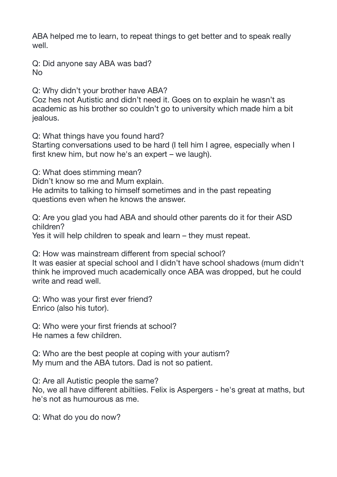ABA helped me to learn, to repeat things to get better and to speak really well.

Q: Did anyone say ABA was bad? No

Q: Why didn't your brother have ABA?

Coz hes not Autistic and didn't need it. Goes on to explain he wasn't as academic as his brother so couldn't go to university which made him a bit jealous.

Q: What things have you found hard?

Starting conversations used to be hard (I tell him I agree, especially when I first knew him, but now he's an expert – we laugh).

Q: What does stimming mean?

Didn't know so me and Mum explain.

He admits to talking to himself sometimes and in the past repeating questions even when he knows the answer.

Q: Are you glad you had ABA and should other parents do it for their ASD children?

Yes it will help children to speak and learn – they must repeat.

Q: How was mainstream different from special school? It was easier at special school and I didn't have school shadows (mum didn't

think he improved much academically once ABA was dropped, but he could write and read well.

Q: Who was your first ever friend? Enrico (also his tutor).

Q: Who were your first friends at school? He names a few children.

Q: Who are the best people at coping with your autism? My mum and the ABA tutors. Dad is not so patient.

Q: Are all Autistic people the same?

No, we all have different abiltiies. Felix is Aspergers - he's great at maths, but he's not as humourous as me.

Q: What do you do now?